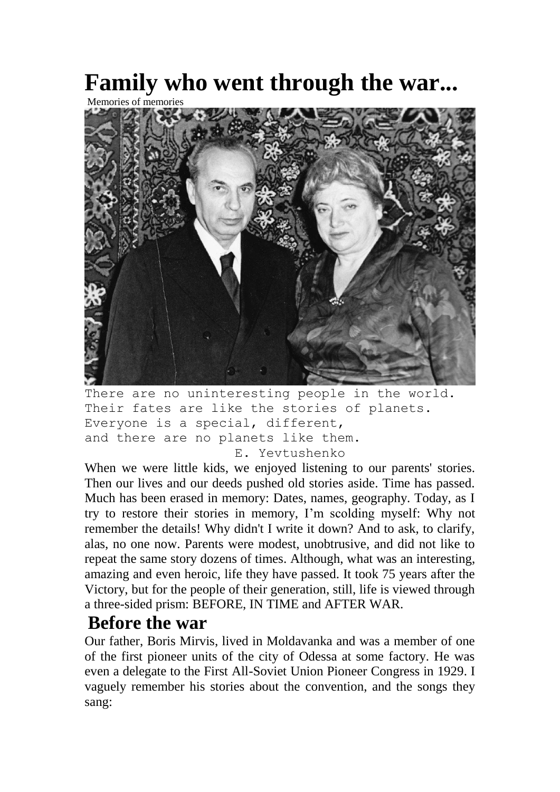## **Family who went through the war...**

Memories of memories



There are no uninteresting people in the world. Their fates are like the stories of planets. Everyone is a special, different, and there are no planets like them. E. Yevtushenko

When we were little kids, we enjoyed listening to our parents' stories. Then our lives and our deeds pushed old stories aside. Time has passed. Much has been erased in memory: Dates, names, geography. Today, as I try to restore their stories in memory, I'm scolding myself: Why not remember the details! Why didn't I write it down? And to ask, to clarify, alas, no one now. Parents were modest, unobtrusive, and did not like to repeat the same story dozens of times. Although, what was an interesting, amazing and even heroic, life they have passed. It took 75 years after the Victory, but for the people of their generation, still, life is viewed through a three-sided prism: BEFORE, IN TIME and AFTER WAR.

## **Before the war**

Our father, Boris Mirvis, lived in Moldavanka and was a member of one of the first pioneer units of the city of Odessa at some factory. He was even a delegate to the First All-Soviet Union Pioneer Congress in 1929. I vaguely remember his stories about the convention, and the songs they sang: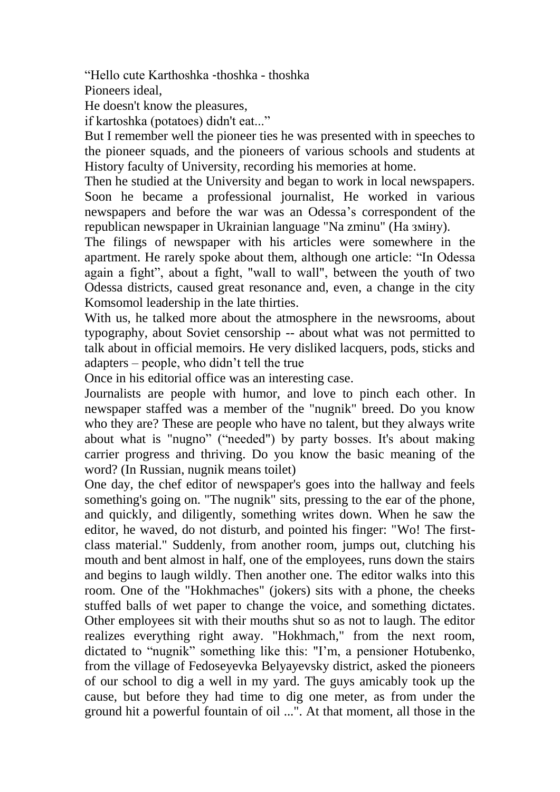"Hello cute Karthoshka -thoshka - thoshka

Pioneers ideal,

He doesn't know the pleasures,

if kartoshka (potatoes) didn't eat..."

But I remember well the pioneer ties he was presented with in speeches to the pioneer squads, and the pioneers of various schools and students at History faculty of University, recording his memories at home.

Then he studied at the University and began to work in local newspapers. Soon he became a professional journalist, He worked in various newspapers and before the war was an Odessa's correspondent of the republican newspaper in Ukrainian language "Na zminu" (На змiну).

The filings of newspaper with his articles were somewhere in the apartment. He rarely spoke about them, although one article: "In Odessa again a fight", about a fight, "wall to wall", between the youth of two Odessa districts, caused great resonance and, even, a change in the city Komsomol leadership in the late thirties.

With us, he talked more about the atmosphere in the newsrooms, about typography, about Soviet censorship -- about what was not permitted to talk about in official memoirs. He very disliked lacquers, pods, sticks and adapters – people, who didn't tell the true

Once in his editorial office was an interesting case.

Journalists are people with humor, and love to pinch each other. In newspaper staffed was a member of the "nugnik" breed. Do you know who they are? These are people who have no talent, but they always write about what is "nugno" ("needed") by party bosses. It's about making carrier progress and thriving. Do you know the basic meaning of the word? (In Russian, nugnik means toilet)

One day, the chef editor of newspaper's goes into the hallway and feels something's going on. "The nugnik" sits, pressing to the ear of the phone, and quickly, and diligently, something writes down. When he saw the editor, he waved, do not disturb, and pointed his finger: "Wo! The firstclass material." Suddenly, from another room, jumps out, clutching his mouth and bent almost in half, one of the employees, runs down the stairs and begins to laugh wildly. Then another one. The editor walks into this room. One of the "Hokhmaches" (jokers) sits with a phone, the cheeks stuffed balls of wet paper to change the voice, and something dictates. Other employees sit with their mouths shut so as not to laugh. The editor realizes everything right away. "Hokhmach," from the next room, dictated to "nugnik" something like this: "I'm, a pensioner Hotubenko, from the village of Fedoseyevka Belyayevsky district, asked the pioneers of our school to dig a well in my yard. The guys amicably took up the cause, but before they had time to dig one meter, as from under the ground hit a powerful fountain of oil ...". At that moment, all those in the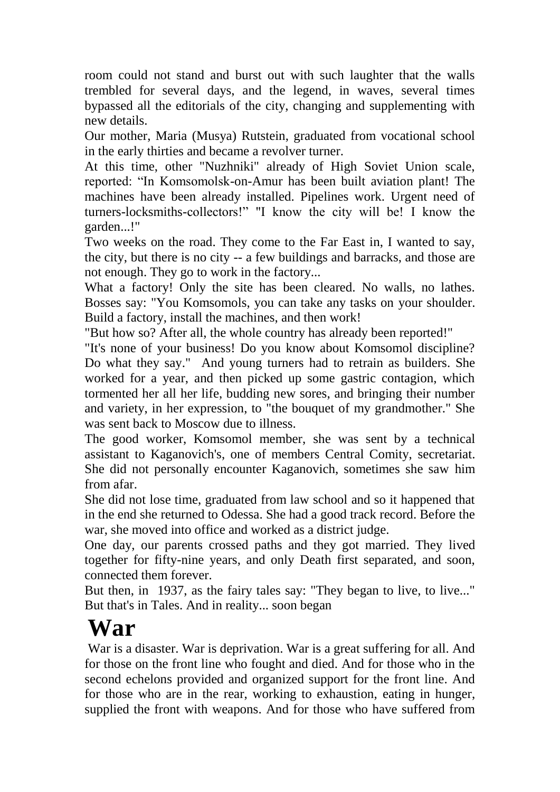room could not stand and burst out with such laughter that the walls trembled for several days, and the legend, in waves, several times bypassed all the editorials of the city, changing and supplementing with new details.

Our mother, Maria (Musya) Rutstein, graduated from vocational school in the early thirties and became a revolver turner.

At this time, other "Nuzhniki" already of High Soviet Union scale, reported: "In Komsomolsk-on-Amur has been built aviation plant! The machines have been already installed. Pipelines work. Urgent need of turners-locksmiths-collectors!" "I know the city will be! I know the garden...!"

Two weeks on the road. They come to the Far East in, I wanted to say, the city, but there is no city -- a few buildings and barracks, and those are not enough. They go to work in the factory...

What a factory! Only the site has been cleared. No walls, no lathes. Bosses say: "You Komsomols, you can take any tasks on your shoulder. Build a factory, install the machines, and then work!

"But how so? After all, the whole country has already been reported!"

"It's none of your business! Do you know about Komsomol discipline? Do what they say." And young turners had to retrain as builders. She worked for a year, and then picked up some gastric contagion, which tormented her all her life, budding new sores, and bringing their number and variety, in her expression, to "the bouquet of my grandmother." She was sent back to Moscow due to illness.

The good worker, Komsomol member, she was sent by a technical assistant to Kaganovich's, one of members Central Comity, secretariat. She did not personally encounter Kaganovich, sometimes she saw him from afar.

She did not lose time, graduated from law school and so it happened that in the end she returned to Odessa. She had a good track record. Before the war, she moved into office and worked as a district judge.

One day, our parents crossed paths and they got married. They lived together for fifty-nine years, and only Death first separated, and soon, connected them forever.

But then, in 1937, as the fairy tales say: "They began to live, to live..." But that's in Tales. And in reality... soon began

## **War**

War is a disaster. War is deprivation. War is a great suffering for all. And for those on the front line who fought and died. And for those who in the second echelons provided and organized support for the front line. And for those who are in the rear, working to exhaustion, eating in hunger, supplied the front with weapons. And for those who have suffered from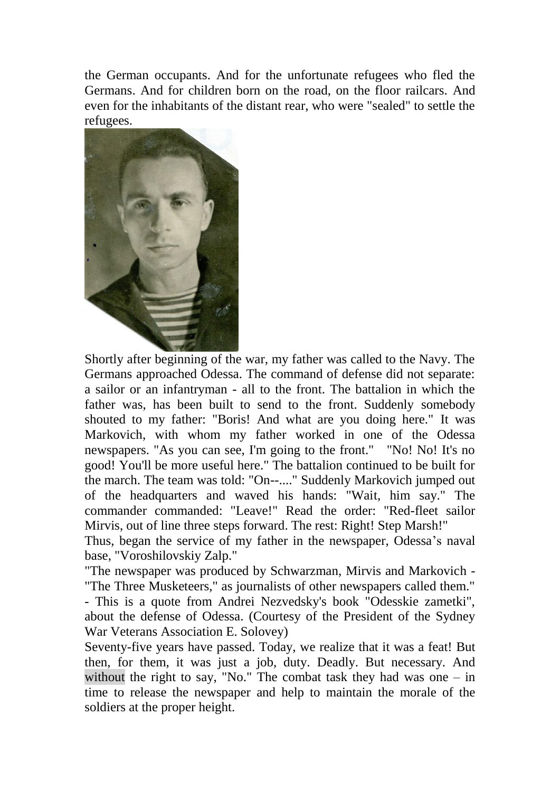the German occupants. And for the unfortunate refugees who fled the Germans. And for children born on the road, on the floor railcars. And even for the inhabitants of the distant rear, who were "sealed" to settle the refugees.



Shortly after beginning of the war, my father was called to the Navy. The Germans approached Odessa. The command of defense did not separate: a sailor or an infantryman - all to the front. The battalion in which the father was, has been built to send to the front. Suddenly somebody shouted to my father: "Boris! And what are you doing here." It was Markovich, with whom my father worked in one of the Odessa newspapers. "As you can see, I'm going to the front." "No! No! It's no good! You'll be more useful here." The battalion continued to be built for the march. The team was told: "On--...." Suddenly Markovich jumped out of the headquarters and waved his hands: "Wait, him say." The commander commanded: "Leave!" Read the order: "Red-fleet sailor Mirvis, out of line three steps forward. The rest: Right! Step Marsh!"

Thus, began the service of my father in the newspaper, Odessa's naval base, "Voroshilovskiy Zalp."

"The newspaper was produced by Schwarzman, Mirvis and Markovich - "The Three Musketeers," as journalists of other newspapers called them."

- This is a quote from Andrei Nezvedsky's book "Odesskie zametki", about the defense of Odessa. (Courtesy of the President of the Sydney War Veterans Association E. Solovey)

Seventy-five years have passed. Today, we realize that it was a feat! But then, for them, it was just a job, duty. Deadly. But necessary. And without the right to say, "No." The combat task they had was one – in time to release the newspaper and help to maintain the morale of the soldiers at the proper height.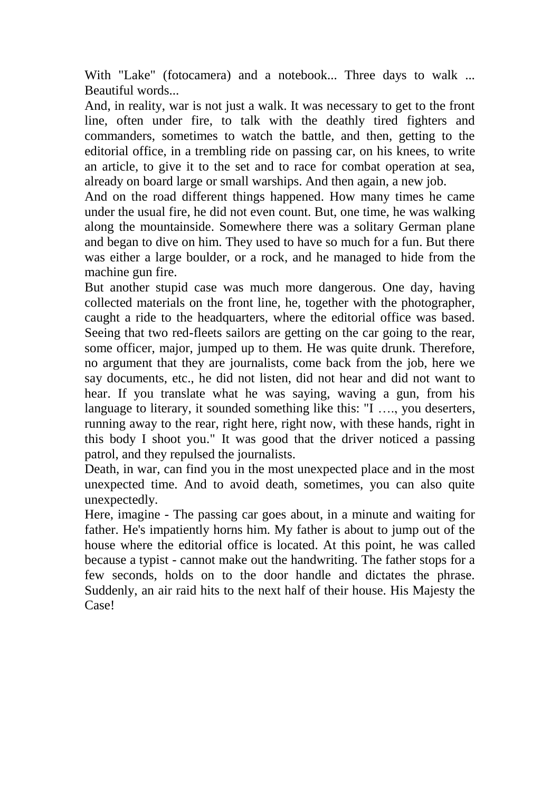With "Lake" (fotocamera) and a notebook... Three days to walk ... Beautiful words...

And, in reality, war is not just a walk. It was necessary to get to the front line, often under fire, to talk with the deathly tired fighters and commanders, sometimes to watch the battle, and then, getting to the editorial office, in a trembling ride on passing car, on his knees, to write an article, to give it to the set and to race for combat operation at sea, already on board large or small warships. And then again, a new job.

And on the road different things happened. How many times he came under the usual fire, he did not even count. But, one time, he was walking along the mountainside. Somewhere there was a solitary German plane and began to dive on him. They used to have so much for a fun. But there was either a large boulder, or a rock, and he managed to hide from the machine gun fire.

But another stupid case was much more dangerous. One day, having collected materials on the front line, he, together with the photographer, caught a ride to the headquarters, where the editorial office was based. Seeing that two red-fleets sailors are getting on the car going to the rear, some officer, major, jumped up to them. He was quite drunk. Therefore, no argument that they are journalists, come back from the job, here we say documents, etc., he did not listen, did not hear and did not want to hear. If you translate what he was saying, waving a gun, from his language to literary, it sounded something like this: "I …., you deserters, running away to the rear, right here, right now, with these hands, right in this body I shoot you." It was good that the driver noticed a passing patrol, and they repulsed the journalists.

Death, in war, can find you in the most unexpected place and in the most unexpected time. And to avoid death, sometimes, you can also quite unexpectedly.

Here, imagine - The passing car goes about, in a minute and waiting for father. He's impatiently horns him. My father is about to jump out of the house where the editorial office is located. At this point, he was called because a typist - cannot make out the handwriting. The father stops for a few seconds, holds on to the door handle and dictates the phrase. Suddenly, an air raid hits to the next half of their house. His Majesty the Case!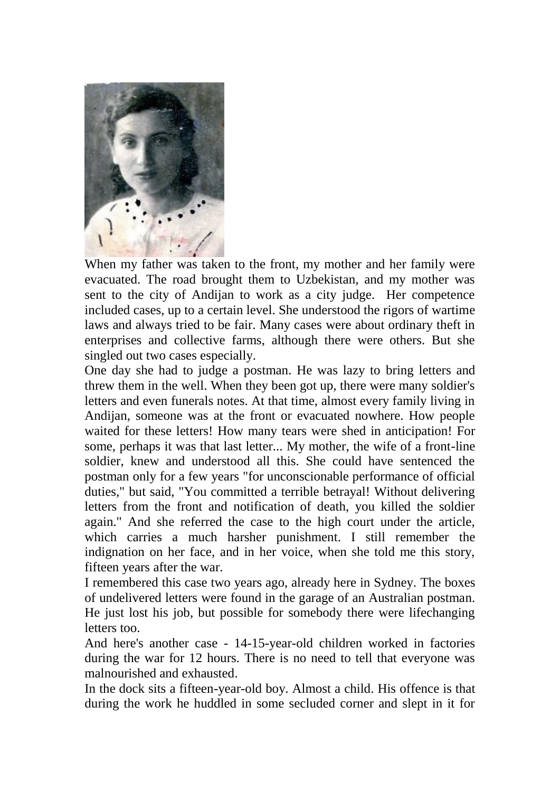

When my father was taken to the front, my mother and her family were evacuated. The road brought them to Uzbekistan, and my mother was sent to the city of Andijan to work as a city judge. Her competence included cases, up to a certain level. She understood the rigors of wartime laws and always tried to be fair. Many cases were about ordinary theft in enterprises and collective farms, although there were others. But she singled out two cases especially.

One day she had to judge a postman. He was lazy to bring letters and threw them in the well. When they been got up, there were many soldier's letters and even funerals notes. At that time, almost every family living in Andijan, someone was at the front or evacuated nowhere. How people waited for these letters! How many tears were shed in anticipation! For some, perhaps it was that last letter... My mother, the wife of a front-line soldier, knew and understood all this. She could have sentenced the postman only for a few years "for unconscionable performance of official duties," but said, "You committed a terrible betrayal! Without delivering letters from the front and notification of death, you killed the soldier again." And she referred the case to the high court under the article, which carries a much harsher punishment. I still remember the indignation on her face, and in her voice, when she told me this story, fifteen years after the war.

I remembered this case two years ago, already here in Sydney. The boxes of undelivered letters were found in the garage of an Australian postman. He just lost his job, but possible for somebody there were lifechanging letters too.

And here's another case - 14-15-year-old children worked in factories during the war for 12 hours. There is no need to tell that everyone was malnourished and exhausted.

In the dock sits a fifteen-year-old boy. Almost a child. His offence is that during the work he huddled in some secluded corner and slept in it for